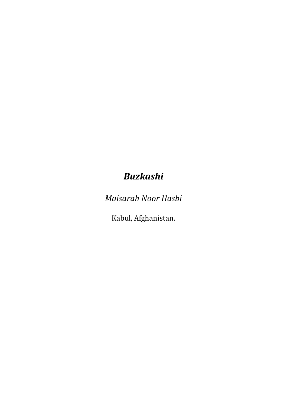# *Buzkashi*

*Maisarah Noor Hasbi*

Kabul, Afghanistan.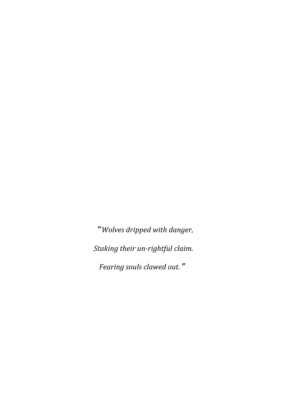"*Wolves dripped with danger, Staking their un-rightful claim. Fearing souls clawed out.*"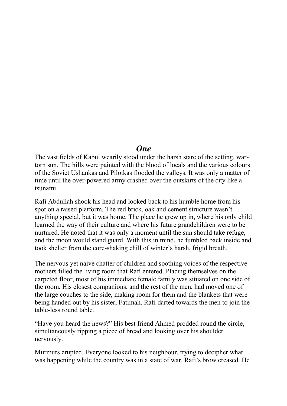# *One*

The vast fields of Kabul wearily stood under the harsh stare of the setting, wartorn sun. The hills were painted with the blood of locals and the various colours of the Soviet Ushankas and Pilotkas flooded the valleys. It was only a matter of time until the over-powered army crashed over the outskirts of the city like a tsunami.

Rafi Abdullah shook his head and looked back to his humble home from his spot on a raised platform. The red brick, oak and cement structure wasn't anything special, but it was home. The place he grew up in, where his only child learned the way of their culture and where his future grandchildren were to be nurtured. He noted that it was only a moment until the sun should take refuge, and the moon would stand guard. With this in mind, he fumbled back inside and took shelter from the core-shaking chill of winter's harsh, frigid breath.

The nervous yet naive chatter of children and soothing voices of the respective mothers filled the living room that Rafi entered. Placing themselves on the carpeted floor, most of his immediate female family was situated on one side of the room. His closest companions, and the rest of the men, had moved one of the large couches to the side, making room for them and the blankets that were being handed out by his sister, Fatimah. Rafi darted towards the men to join the table-less round table.

"Have you heard the news?" His best friend Ahmed prodded round the circle, simultaneously ripping a piece of bread and looking over his shoulder nervously.

Murmurs erupted. Everyone looked to his neighbour, trying to decipher what was happening while the country was in a state of war. Rafi's brow creased. He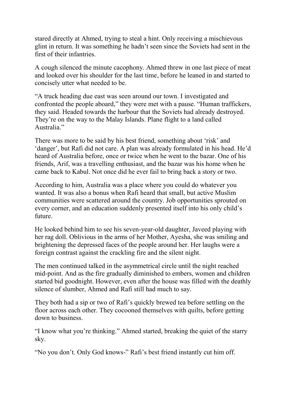stared directly at Ahmed, trying to steal a hint. Only receiving a mischievous glint in return. It was something he hadn't seen since the Soviets had sent in the first of their infantries.

A cough silenced the minute cacophony. Ahmed threw in one last piece of meat and looked over his shoulder for the last time, before he leaned in and started to concisely utter what needed to be.

"A truck heading due east was seen around our town. I investigated and confronted the people aboard," they were met with a pause. "Human traffickers, they said. Headed towards the harbour that the Soviets had already destroyed. They're on the way to the Malay Islands. Plane flight to a land called Australia."

There was more to be said by his best friend, something about 'risk' and 'danger', but Rafi did not care. A plan was already formulated in his head. He'd heard of Australia before, once or twice when he went to the bazar. One of his friends, Arif, was a travelling enthusiast, and the bazar was his home when he came back to Kabul. Not once did he ever fail to bring back a story or two.

According to him, Australia was a place where you could do whatever you wanted. It was also a bonus when Rafi heard that small, but active Muslim communities were scattered around the country. Job opportunities sprouted on every corner, and an education suddenly presented itself into his only child's future.

He looked behind him to see his seven-year-old daughter, Javeed playing with her rag doll. Oblivious in the arms of her Mother, Ayesha, she was smiling and brightening the depressed faces of the people around her. Her laughs were a foreign contrast against the crackling fire and the silent night.

The men continued talked in the asymmetrical circle until the night reached mid-point. And as the fire gradually diminished to embers, women and children started bid goodnight. However, even after the house was filled with the deathly silence of slumber, Ahmed and Rafi still had much to say.

They both had a sip or two of Rafi's quickly brewed tea before settling on the floor across each other. They cocooned themselves with quilts, before getting down to business.

"I know what you're thinking." Ahmed started, breaking the quiet of the starry sky.

"No you don't. Only God knows-" Rafi's best friend instantly cut him off.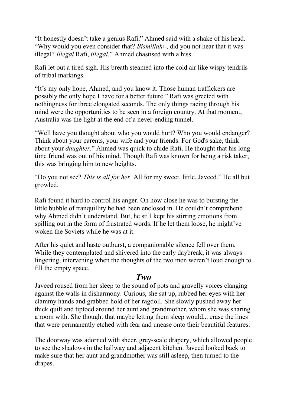"It honestly doesn't take a genius Rafi," Ahmed said with a shake of his head. "Why would you even consider that? *Bismillah*<sup>[1]</sup>, did you not hear that it was illegal? *Illegal* Rafi, *illegal.*" Ahmed chastised with a hiss.

Rafi let out a tired sigh. His breath steamed into the cold air like wispy tendrils of tribal markings.

"It's my only hope, Ahmed, and you know it. Those human traffickers are possibly the only hope I have for a better future." Rafi was greeted with nothingness for three elongated seconds. The only things racing through his mind were the opportunities to be seen in a foreign country. At that moment, Australia was the light at the end of a never-ending tunnel.

"Well have you thought about who you would hurt? Who you would endanger? Think about your parents, your wife and your friends. For God's sake, think about your *daughter.*" Ahmed was quick to chide Rafi. He thought that his long time friend was out of his mind. Though Rafi was known for being a risk taker, this was bringing him to new heights.

"Do you not see? *This is all for her*. All for my sweet, little, Javeed." He all but growled.

Rafi found it hard to control his anger. Oh how close he was to bursting the little bubble of tranquillity he had been enclosed in. He couldn't comprehend why Ahmed didn't understand. But, he still kept his stirring emotions from spilling out in the form of frustrated words. If he let them loose, he might've woken the Soviets while he was at it.

After his quiet and haste outburst, a companionable silence fell over them. While they contemplated and shivered into the early daybreak, it was always lingering, intervening when the thoughts of the two men weren't loud enough to fill the empty space.

### *Two*

Javeed roused from her sleep to the sound of pots and gravelly voices clanging against the walls in disharmony. Curious, she sat up, rubbed her eyes with her clammy hands and grabbed hold of her ragdoll. She slowly pushed away her thick quilt and tiptoed around her aunt and grandmother, whom she was sharing a room with. She thought that maybe letting them sleep would... erase the lines that were permanently etched with fear and unease onto their beautiful features.

The doorway was adorned with sheer, grey-scale drapery, which allowed people to see the shadows in the hallway and adjacent kitchen. Javeed looked back to make sure that her aunt and grandmother was still asleep, then turned to the drapes.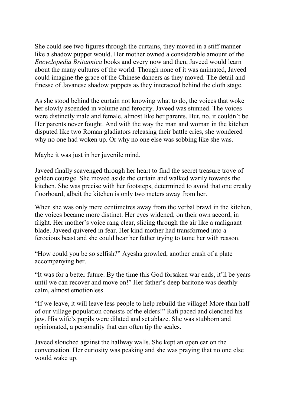She could see two figures through the curtains, they moved in a stiff manner like a shadow puppet would. Her mother owned a considerable amount of the *Encyclopedia Britannica* books and every now and then, Javeed would learn about the many cultures of the world. Though none of it was animated, Javeed could imagine the grace of the Chinese dancers as they moved. The detail and finesse of Javanese shadow puppets as they interacted behind the cloth stage.

As she stood behind the curtain not knowing what to do, the voices that woke her slowly ascended in volume and ferocity. Javeed was stunned. The voices were distinctly male and female, almost like her parents. But, no, it couldn't be. Her parents never fought. And with the way the man and woman in the kitchen disputed like two Roman gladiators releasing their battle cries, she wondered why no one had woken up. Or why no one else was sobbing like she was.

Maybe it was just in her juvenile mind.

Javeed finally scavenged through her heart to find the secret treasure trove of golden courage. She moved aside the curtain and walked warily towards the kitchen. She was precise with her footsteps, determined to avoid that one creaky floorboard, albeit the kitchen is only two meters away from her.

When she was only mere centimetres away from the verbal brawl in the kitchen, the voices became more distinct. Her eyes widened, on their own accord, in fright. Her mother's voice rang clear, slicing through the air like a malignant blade. Javeed quivered in fear. Her kind mother had transformed into a ferocious beast and she could hear her father trying to tame her with reason.

"How could you be so selfish?" Ayesha growled, another crash of a plate accompanying her.

"It was for a better future. By the time this God forsaken war ends, it'll be years until we can recover and move on!" Her father's deep baritone was deathly calm, almost emotionless.

"If we leave, it will leave less people to help rebuild the village! More than half of our village population consists of the elders!" Rafi paced and clenched his jaw. His wife's pupils were dilated and set ablaze. She was stubborn and opinionated, a personality that can often tip the scales.

Javeed slouched against the hallway walls. She kept an open ear on the conversation. Her curiosity was peaking and she was praying that no one else would wake up.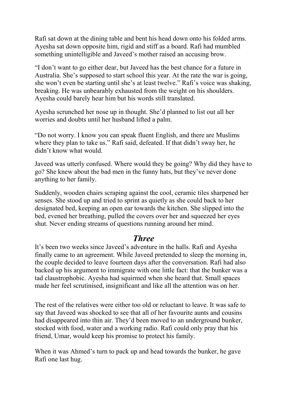Rafi sat down at the dining table and bent his head down onto his folded arms. Ayesha sat down opposite him, rigid and stiff as a board. Rafi had mumbled something unintelligible and Javeed's mother raised an accusing brow.

"I don't want to go either dear, but Javeed has the best chance for a future in Australia. She's supposed to start school this year. At the rate the war is going, she won't even be starting until she's at least twelve." Rafi's voice was shaking, breaking. He was unbearably exhausted from the weight on his shoulders. Ayesha could barely hear him but his words still translated.

Ayesha scrunched her nose up in thought. She'd planned to list out all her worries and doubts until her husband lifted a palm.

"Do not worry. I know you can speak fluent English, and there are Muslims where they plan to take us." Rafi said, defeated. If that didn't sway her, he didn't know what would.

Javeed was utterly confused. Where would they be going? Why did they have to go? She knew about the bad men in the funny hats, but they've never done anything to her family.

Suddenly, wooden chairs scraping against the cool, ceramic tiles sharpened her senses. She stood up and tried to sprint as quietly as she could back to her designated bed, keeping an open ear towards the kitchen. She slipped into the bed, evened her breathing, pulled the covers over her and squeezed her eyes shut. Never ending streams of questions running around her mind.

## *Three*

It's been two weeks since Javeed's adventure in the halls. Rafi and Ayesha finally came to an agreement. While Javeed pretended to sleep the morning in, the couple decided to leave fourteen days after the conversation. Rafi had also backed up his argument to immigrate with one little fact: that the bunker was a tad claustrophobic. Ayesha had squirmed when she heard that. Small spaces made her feel scrutinised, insignificant and like all the attention was on her.

The rest of the relatives were either too old or reluctant to leave. It was safe to say that Javeed was shocked to see that all of her favourite aunts and cousins had disappeared into thin air. They'd been moved to an underground bunker, stocked with food, water and a working radio. Rafi could only pray that his friend, Umar, would keep his promise to protect his family.

When it was Ahmed's turn to pack up and head towards the bunker, he gave Rafi one last hug.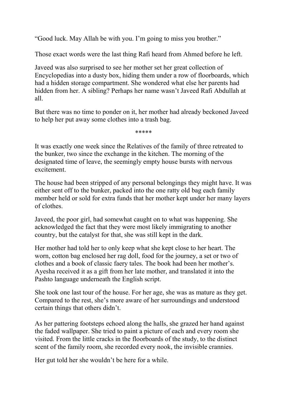"Good luck. May Allah be with you. I'm going to miss you brother."

Those exact words were the last thing Rafi heard from Ahmed before he left.

Javeed was also surprised to see her mother set her great collection of Encyclopedias into a dusty box, hiding them under a row of floorboards, which had a hidden storage compartment. She wondered what else her parents had hidden from her. A sibling? Perhaps her name wasn't Javeed Rafi Abdullah at all.

But there was no time to ponder on it, her mother had already beckoned Javeed to help her put away some clothes into a trash bag.

\*\*\*\*\*

It was exactly one week since the Relatives of the family of three retreated to the bunker, two since the exchange in the kitchen. The morning of the designated time of leave, the seemingly empty house bursts with nervous excitement.

The house had been stripped of any personal belongings they might have. It was either sent off to the bunker, packed into the one ratty old bag each family member held or sold for extra funds that her mother kept under her many layers of clothes.

Javeed, the poor girl, had somewhat caught on to what was happening. She acknowledged the fact that they were most likely immigrating to another country, but the catalyst for that, she was still kept in the dark.

Her mother had told her to only keep what she kept close to her heart. The worn, cotton bag enclosed her rag doll, food for the journey, a set or two of clothes and a book of classic faery tales. The book had been her mother's. Ayesha received it as a gift from her late mother, and translated it into the Pashto language underneath the English script.

She took one last tour of the house. For her age, she was as mature as they get. Compared to the rest, she's more aware of her surroundings and understood certain things that others didn't.

As her pattering footsteps echoed along the halls, she grazed her hand against the faded wallpaper. She tried to paint a picture of each and every room she visited. From the little cracks in the floorboards of the study, to the distinct scent of the family room, she recorded every nook, the invisible crannies.

Her gut told her she wouldn't be here for a while.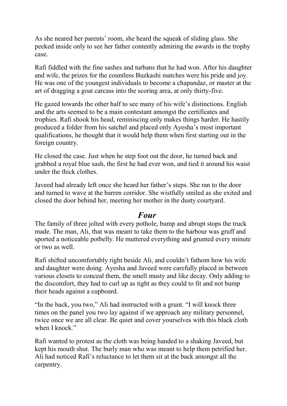As she neared her parents' room, she heard the squeak of sliding glass. She peeked inside only to see her father contently admiring the awards in the trophy case.

Rafi fiddled with the fine sashes and turbans that he had won. After his daughter and wife, the prizes for the countless Buzkashi matches were his pride and joy. He was one of the youngest individuals to become a chapandaz, or master at the art of dragging a goat carcass into the scoring area, at only thirty-five.

He gazed towards the other half to see many of his wife's distinctions. English and the arts seemed to be a main contestant amongst the certificates and trophies. Rafi shook his head, reminiscing only makes things harder. He hastily produced a folder from his satchel and placed only Ayesha's most important qualifications, he thought that it would help them when first starting out in the foreign country.

He closed the case. Just when he step foot out the door, he turned back and grabbed a royal blue sash, the first he had ever won, and tied it around his waist under the thick clothes.

Javeed had already left once she heard her father's steps. She ran to the door and turned to wave at the barren corridor. She wistfully smiled as she exited and closed the door behind her, meeting her mother in the dusty courtyard.

### *Four*

The family of three jolted with every pothole, bump and abrupt stops the truck made. The man, Ali, that was meant to take them to the harbour was gruff and sported a noticeable potbelly. He muttered everything and grunted every minute or two as well.

Rafi shifted uncomfortably right beside Ali, and couldn't fathom how his wife and daughter were doing. Ayesha and Javeed were carefully placed in between various closets to conceal them, the smell musty and like decay. Only adding to the discomfort, they had to curl up as tight as they could to fit and not bump their heads against a cupboard.

"In the back, you two," Ali had instructed with a grunt. "I will knock three times on the panel you two lay against if we approach any military personnel, twice once we are all clear. Be quiet and cover yourselves with this black cloth when I knock"

Rafi wanted to protest as the cloth was being handed to a shaking Javeed, but kept his mouth shut. The burly man who was meant to help them petrified her. Ali had noticed Rafi's reluctance to let them sit at the back amongst all the carpentry.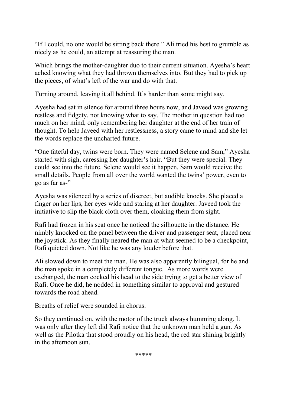"If I could, no one would be sitting back there." Ali tried his best to grumble as nicely as he could, an attempt at reassuring the man.

Which brings the mother-daughter duo to their current situation. Ayesha's heart ached knowing what they had thrown themselves into. But they had to pick up the pieces, of what's left of the war and do with that.

Turning around, leaving it all behind. It's harder than some might say.

Ayesha had sat in silence for around three hours now, and Javeed was growing restless and fidgety, not knowing what to say. The mother in question had too much on her mind, only remembering her daughter at the end of her train of thought. To help Javeed with her restlessness, a story came to mind and she let the words replace the uncharted future.

"One fateful day, twins were born. They were named Selene and Sam," Ayesha started with sigh, caressing her daughter's hair. "But they were special. They could see into the future. Selene would see it happen, Sam would receive the small details. People from all over the world wanted the twins' power, even to go as far as-"

Ayesha was silenced by a series of discreet, but audible knocks. She placed a finger on her lips, her eyes wide and staring at her daughter. Javeed took the initiative to slip the black cloth over them, cloaking them from sight.

Rafi had frozen in his seat once he noticed the silhouette in the distance. He nimbly knocked on the panel between the driver and passenger seat, placed near the joystick. As they finally neared the man at what seemed to be a checkpoint, Rafi quieted down. Not like he was any louder before that.

Ali slowed down to meet the man. He was also apparently bilingual, for he and the man spoke in a completely different tongue. As more words were exchanged, the man cocked his head to the side trying to get a better view of Rafi. Once he did, he nodded in something similar to approval and gestured towards the road ahead.

Breaths of relief were sounded in chorus.

So they continued on, with the motor of the truck always humming along. It was only after they left did Rafi notice that the unknown man held a gun. As well as the Pilotka that stood proudly on his head, the red star shining brightly in the afternoon sun.

\*\*\*\*\*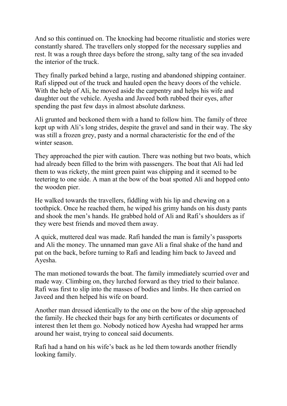And so this continued on. The knocking had become ritualistic and stories were constantly shared. The travellers only stopped for the necessary supplies and rest. It was a rough three days before the strong, salty tang of the sea invaded the interior of the truck.

They finally parked behind a large, rusting and abandoned shipping container. Rafi slipped out of the truck and hauled open the heavy doors of the vehicle. With the help of Ali, he moved aside the carpentry and helps his wife and daughter out the vehicle. Ayesha and Javeed both rubbed their eyes, after spending the past few days in almost absolute darkness.

Ali grunted and beckoned them with a hand to follow him. The family of three kept up with Ali's long strides, despite the gravel and sand in their way. The sky was still a frozen grey, pasty and a normal characteristic for the end of the winter season.

They approached the pier with caution. There was nothing but two boats, which had already been filled to the brim with passengers. The boat that Ali had led them to was rickety, the mint green paint was chipping and it seemed to be teetering to one side. A man at the bow of the boat spotted Ali and hopped onto the wooden pier.

He walked towards the travellers, fiddling with his lip and chewing on a toothpick. Once he reached them, he wiped his grimy hands on his dusty pants and shook the men's hands. He grabbed hold of Ali and Rafi's shoulders as if they were best friends and moved them away.

A quick, muttered deal was made. Rafi handed the man is family's passports and Ali the money. The unnamed man gave Ali a final shake of the hand and pat on the back, before turning to Rafi and leading him back to Javeed and Ayesha.

The man motioned towards the boat. The family immediately scurried over and made way. Climbing on, they lurched forward as they tried to their balance. Rafi was first to slip into the masses of bodies and limbs. He then carried on Javeed and then helped his wife on board.

Another man dressed identically to the one on the bow of the ship approached the family. He checked their bags for any birth certificates or documents of interest then let them go. Nobody noticed how Ayesha had wrapped her arms around her waist, trying to conceal said documents.

Rafi had a hand on his wife's back as he led them towards another friendly looking family.